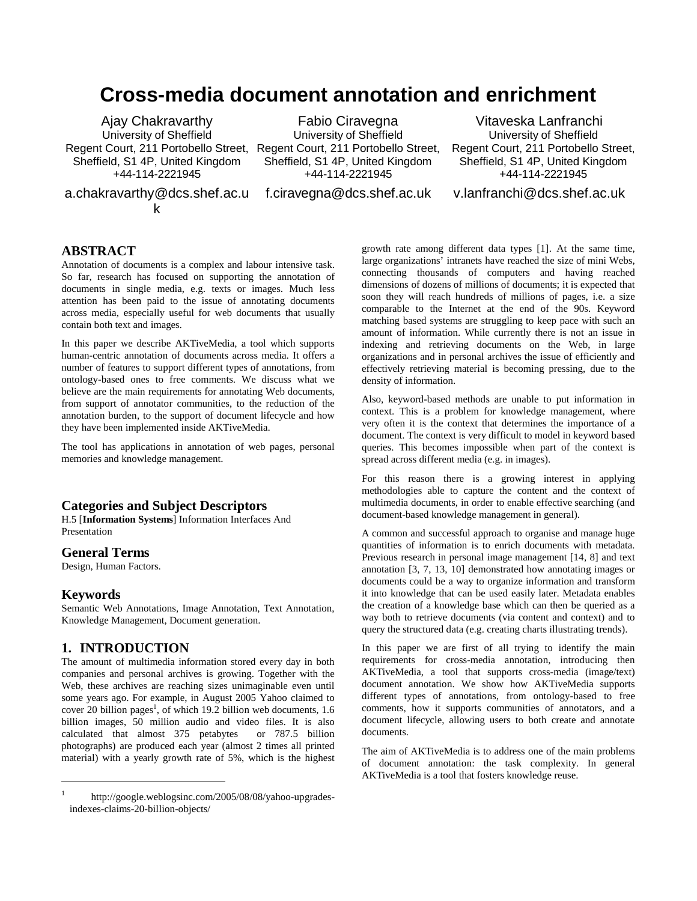# **Cross-media document annotation and enrichment**

Ajay Chakravarthy University of Sheffield Regent Court, 211 Portobello Street, Regent Court, 211 Portobello Street, Sheffield, S1 4P, United Kingdom +44-114-2221945

a.chakravarthy@dcs.shef.ac.u k

Fabio Ciravegna University of Sheffield Sheffield, S1 4P, United Kingdom +44-114-2221945

f.ciravegna@dcs.shef.ac.uk

Vitaveska Lanfranchi University of Sheffield Regent Court, 211 Portobello Street, Sheffield, S1 4P, United Kingdom +44-114-2221945

v.lanfranchi@dcs.shef.ac.uk

## **ABSTRACT**

Annotation of documents is a complex and labour intensive task. So far, research has focused on supporting the annotation of documents in single media, e.g. texts or images. Much less attention has been paid to the issue of annotating documents across media, especially useful for web documents that usually contain both text and images.

In this paper we describe AKTiveMedia, a tool which supports human-centric annotation of documents across media. It offers a number of features to support different types of annotations, from ontology-based ones to free comments. We discuss what we believe are the main requirements for annotating Web documents, from support of annotator communities, to the reduction of the annotation burden, to the support of document lifecycle and how they have been implemented inside AKTiveMedia.

The tool has applications in annotation of web pages, personal memories and knowledge management.

## **Categories and Subject Descriptors**

H.5 [**Information Systems**] Information Interfaces And Presentation

#### **General Terms**

Design, Human Factors.

#### **Keywords**

1

Semantic Web Annotations, Image Annotation, Text Annotation, Knowledge Management, Document generation.

#### **1. INTRODUCTION**

The amount of multimedia information stored every day in both companies and personal archives is growing. Together with the Web, these archives are reaching sizes unimaginable even until some years ago. For example, in August 2005 Yahoo claimed to cover 20 billion pages<sup>1</sup>, of which 19.2 billion web documents, 1.6 billion images, 50 million audio and video files. It is also calculated that almost 375 petabytes or 787.5 billion photographs) are produced each year (almost 2 times all printed material) with a yearly growth rate of 5%, which is the highest

growth rate among different data types [1]. At the same time, large organizations' intranets have reached the size of mini Webs, connecting thousands of computers and having reached dimensions of dozens of millions of documents; it is expected that soon they will reach hundreds of millions of pages, i.e. a size comparable to the Internet at the end of the 90s. Keyword matching based systems are struggling to keep pace with such an amount of information. While currently there is not an issue in indexing and retrieving documents on the Web, in large organizations and in personal archives the issue of efficiently and effectively retrieving material is becoming pressing, due to the density of information.

Also, keyword-based methods are unable to put information in context. This is a problem for knowledge management, where very often it is the context that determines the importance of a document. The context is very difficult to model in keyword based queries. This becomes impossible when part of the context is spread across different media (e.g. in images).

For this reason there is a growing interest in applying methodologies able to capture the content and the context of multimedia documents, in order to enable effective searching (and document-based knowledge management in general).

A common and successful approach to organise and manage huge quantities of information is to enrich documents with metadata. Previous research in personal image management [14, 8] and text annotation [3, 7, 13, 10] demonstrated how annotating images or documents could be a way to organize information and transform it into knowledge that can be used easily later. Metadata enables the creation of a knowledge base which can then be queried as a way both to retrieve documents (via content and context) and to query the structured data (e.g. creating charts illustrating trends).

In this paper we are first of all trying to identify the main requirements for cross-media annotation, introducing then AKTiveMedia, a tool that supports cross-media (image/text) document annotation. We show how AKTiveMedia supports different types of annotations, from ontology-based to free comments, how it supports communities of annotators, and a document lifecycle, allowing users to both create and annotate documents.

The aim of AKTiveMedia is to address one of the main problems of document annotation: the task complexity. In general AKTiveMedia is a tool that fosters knowledge reuse.

http://google.weblogsinc.com/2005/08/08/yahoo-upgradesindexes-claims-20-billion-objects/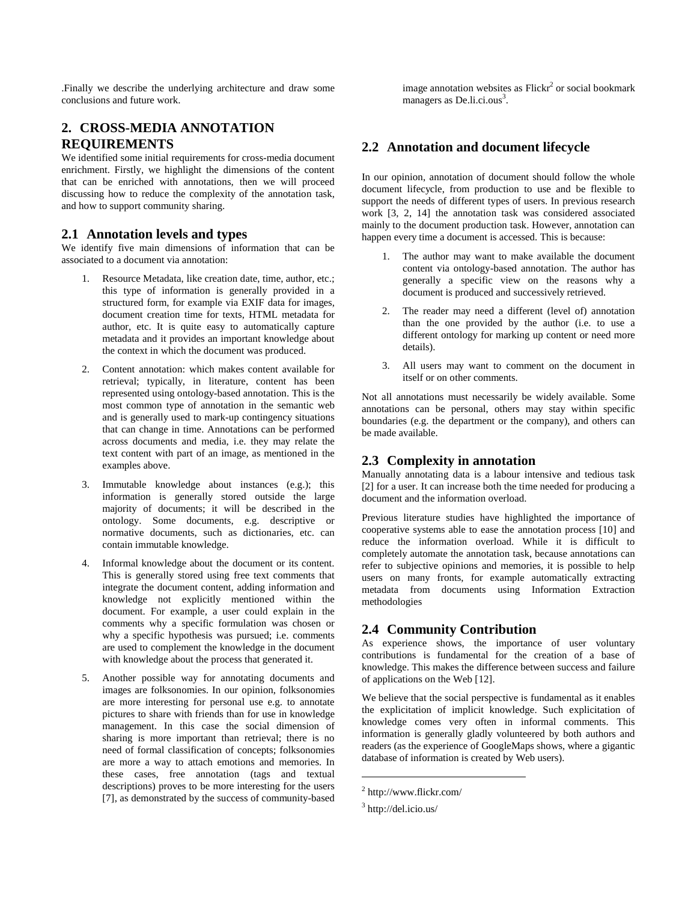.Finally we describe the underlying architecture and draw some conclusions and future work.

## **2. CROSS-MEDIA ANNOTATION REQUIREMENTS**

We identified some initial requirements for cross-media document enrichment. Firstly, we highlight the dimensions of the content that can be enriched with annotations, then we will proceed discussing how to reduce the complexity of the annotation task, and how to support community sharing.

## **2.1 Annotation levels and types**

We identify five main dimensions of information that can be associated to a document via annotation:

- 1. Resource Metadata, like creation date, time, author, etc.; this type of information is generally provided in a structured form, for example via EXIF data for images, document creation time for texts, HTML metadata for author, etc. It is quite easy to automatically capture metadata and it provides an important knowledge about the context in which the document was produced.
- 2. Content annotation: which makes content available for retrieval; typically, in literature, content has been represented using ontology-based annotation. This is the most common type of annotation in the semantic web and is generally used to mark-up contingency situations that can change in time. Annotations can be performed across documents and media, i.e. they may relate the text content with part of an image, as mentioned in the examples above.
- 3. Immutable knowledge about instances (e.g.); this information is generally stored outside the large majority of documents; it will be described in the ontology. Some documents, e.g. descriptive or normative documents, such as dictionaries, etc. can contain immutable knowledge.
- 4. Informal knowledge about the document or its content. This is generally stored using free text comments that integrate the document content, adding information and knowledge not explicitly mentioned within the document. For example, a user could explain in the comments why a specific formulation was chosen or why a specific hypothesis was pursued; i.e. comments are used to complement the knowledge in the document with knowledge about the process that generated it.
- 5. Another possible way for annotating documents and images are folksonomies. In our opinion, folksonomies are more interesting for personal use e.g. to annotate pictures to share with friends than for use in knowledge management. In this case the social dimension of sharing is more important than retrieval; there is no need of formal classification of concepts; folksonomies are more a way to attach emotions and memories. In these cases, free annotation (tags and textual descriptions) proves to be more interesting for the users [7], as demonstrated by the success of community-based

image annotation websites as  $Flickr<sup>2</sup>$  or social bookmark managers as De.li.ci.ous<sup>3</sup>.

## **2.2 Annotation and document lifecycle**

In our opinion, annotation of document should follow the whole document lifecycle, from production to use and be flexible to support the needs of different types of users. In previous research work [3, 2, 14] the annotation task was considered associated mainly to the document production task. However, annotation can happen every time a document is accessed. This is because:

- 1. The author may want to make available the document content via ontology-based annotation. The author has generally a specific view on the reasons why a document is produced and successively retrieved.
- 2. The reader may need a different (level of) annotation than the one provided by the author (i.e. to use a different ontology for marking up content or need more details).
- 3. All users may want to comment on the document in itself or on other comments.

Not all annotations must necessarily be widely available. Some annotations can be personal, others may stay within specific boundaries (e.g. the department or the company), and others can be made available.

## **2.3 Complexity in annotation**

Manually annotating data is a labour intensive and tedious task [2] for a user. It can increase both the time needed for producing a document and the information overload.

Previous literature studies have highlighted the importance of cooperative systems able to ease the annotation process [10] and reduce the information overload. While it is difficult to completely automate the annotation task, because annotations can refer to subjective opinions and memories, it is possible to help users on many fronts, for example automatically extracting metadata from documents using Information Extraction methodologies

## **2.4 Community Contribution**

As experience shows, the importance of user voluntary contributions is fundamental for the creation of a base of knowledge. This makes the difference between success and failure of applications on the Web [12].

We believe that the social perspective is fundamental as it enables the explicitation of implicit knowledge. Such explicitation of knowledge comes very often in informal comments. This information is generally gladly volunteered by both authors and readers (as the experience of GoogleMaps shows, where a gigantic database of information is created by Web users).

 $\overline{a}$ 

<sup>2</sup> http://www.flickr.com/

<sup>&</sup>lt;sup>3</sup> http://del.icio.us/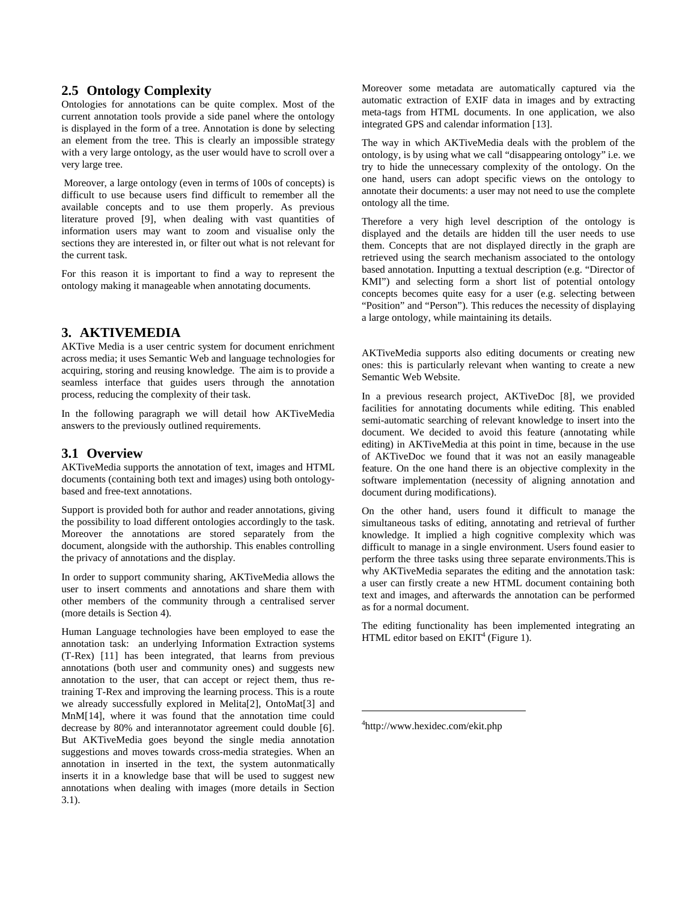### **2.5 Ontology Complexity**

Ontologies for annotations can be quite complex. Most of the current annotation tools provide a side panel where the ontology is displayed in the form of a tree. Annotation is done by selecting an element from the tree. This is clearly an impossible strategy with a very large ontology, as the user would have to scroll over a very large tree.

 Moreover, a large ontology (even in terms of 100s of concepts) is difficult to use because users find difficult to remember all the available concepts and to use them properly. As previous literature proved [9], when dealing with vast quantities of information users may want to zoom and visualise only the sections they are interested in, or filter out what is not relevant for the current task.

For this reason it is important to find a way to represent the ontology making it manageable when annotating documents.

#### **3. AKTIVEMEDIA**

AKTive Media is a user centric system for document enrichment across media; it uses Semantic Web and language technologies for acquiring, storing and reusing knowledge. The aim is to provide a seamless interface that guides users through the annotation process, reducing the complexity of their task.

In the following paragraph we will detail how AKTiveMedia answers to the previously outlined requirements.

## **3.1 Overview**

AKTiveMedia supports the annotation of text, images and HTML documents (containing both text and images) using both ontologybased and free-text annotations.

Support is provided both for author and reader annotations, giving the possibility to load different ontologies accordingly to the task. Moreover the annotations are stored separately from the document, alongside with the authorship. This enables controlling the privacy of annotations and the display.

In order to support community sharing, AKTiveMedia allows the user to insert comments and annotations and share them with other members of the community through a centralised server (more details is Section 4).

Human Language technologies have been employed to ease the annotation task: an underlying Information Extraction systems (T-Rex) [11] has been integrated, that learns from previous annotations (both user and community ones) and suggests new annotation to the user, that can accept or reject them, thus retraining T-Rex and improving the learning process. This is a route we already successfully explored in Melita[2], OntoMat[3] and MnM[14], where it was found that the annotation time could decrease by 80% and interannotator agreement could double [6]. But AKTiveMedia goes beyond the single media annotation suggestions and moves towards cross-media strategies. When an annotation in inserted in the text, the system autonmatically inserts it in a knowledge base that will be used to suggest new annotations when dealing with images (more details in Section 3.1).

Moreover some metadata are automatically captured via the automatic extraction of EXIF data in images and by extracting meta-tags from HTML documents. In one application, we also integrated GPS and calendar information [13].

The way in which AKTiveMedia deals with the problem of the ontology, is by using what we call "disappearing ontology" i.e. we try to hide the unnecessary complexity of the ontology. On the one hand, users can adopt specific views on the ontology to annotate their documents: a user may not need to use the complete ontology all the time.

Therefore a very high level description of the ontology is displayed and the details are hidden till the user needs to use them. Concepts that are not displayed directly in the graph are retrieved using the search mechanism associated to the ontology based annotation. Inputting a textual description (e.g. "Director of KMI") and selecting form a short list of potential ontology concepts becomes quite easy for a user (e.g. selecting between "Position" and "Person"). This reduces the necessity of displaying a large ontology, while maintaining its details.

AKTiveMedia supports also editing documents or creating new ones: this is particularly relevant when wanting to create a new Semantic Web Website.

In a previous research project, AKTiveDoc [8], we provided facilities for annotating documents while editing. This enabled semi-automatic searching of relevant knowledge to insert into the document. We decided to avoid this feature (annotating while editing) in AKTiveMedia at this point in time, because in the use of AKTiveDoc we found that it was not an easily manageable feature. On the one hand there is an objective complexity in the software implementation (necessity of aligning annotation and document during modifications).

On the other hand, users found it difficult to manage the simultaneous tasks of editing, annotating and retrieval of further knowledge. It implied a high cognitive complexity which was difficult to manage in a single environment. Users found easier to perform the three tasks using three separate environments.This is why AKTiveMedia separates the editing and the annotation task: a user can firstly create a new HTML document containing both text and images, and afterwards the annotation can be performed as for a normal document.

The editing functionality has been implemented integrating an HTML editor based on  $EKIT<sup>4</sup>$  (Figure 1).

4 http://www.hexidec.com/ekit.php

1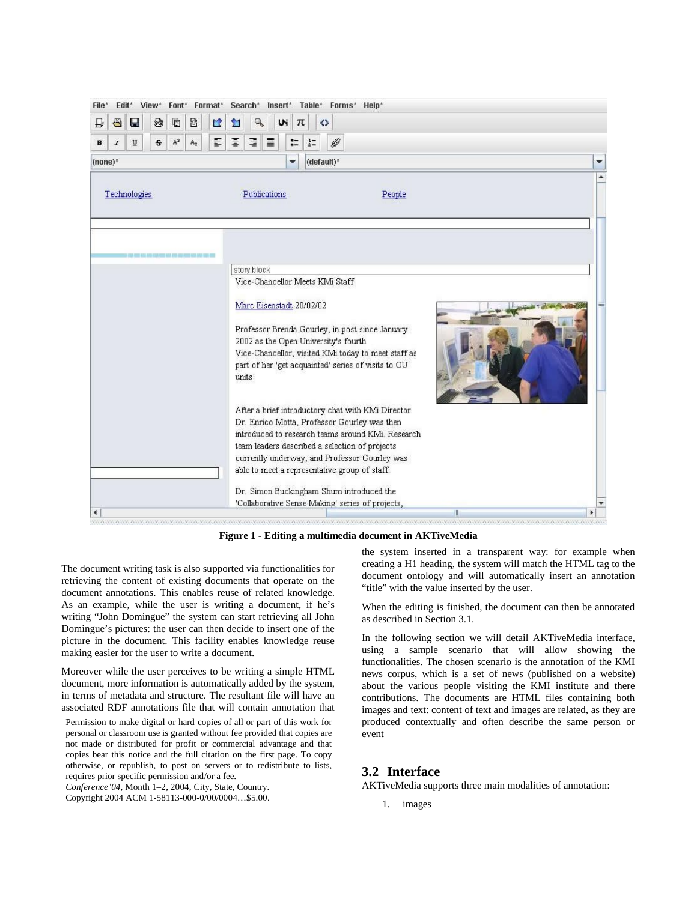| Edit*<br>View*<br>File*                                    | Font* Format* Search* Insert* Table* Forms* Help*                                                                                                                                                                                                                                                          |   |
|------------------------------------------------------------|------------------------------------------------------------------------------------------------------------------------------------------------------------------------------------------------------------------------------------------------------------------------------------------------------------|---|
| $\blacksquare$<br>B<br>8<br>Ò<br>₽<br>u<br>≌               | ٩<br>w<br>⇔<br>π<br>ิช                                                                                                                                                                                                                                                                                     |   |
| E<br>A <sup>2</sup><br>ū<br>£.<br>I<br>A <sub>2</sub><br>B | 亖<br>Ø<br>目<br>畺<br>።<br>$\frac{1}{2}$                                                                                                                                                                                                                                                                     |   |
| (none)*                                                    | (default)*<br>▼                                                                                                                                                                                                                                                                                            | ▼ |
| Technologies                                               | Publications<br>People                                                                                                                                                                                                                                                                                     |   |
|                                                            | story block                                                                                                                                                                                                                                                                                                |   |
|                                                            | Vice-Chancellor Meets KMi Staff<br>Marc Eisenstadt 20/02/02                                                                                                                                                                                                                                                |   |
|                                                            | Professor Brenda Gourley, in post since January<br>2002 as the Open University's fourth<br>Vice-Chancellor, visited KIMi today to meet staff as<br>part of her 'get acquainted' series of visits to OU<br>units                                                                                            |   |
|                                                            | After a brief introductory chat with KMi Director<br>Dr. Enrico Motta, Professor Gourley was then<br>introduced to research teams around KMi. Research<br>team leaders described a selection of projects<br>currently underway, and Professor Gourley was<br>able to meet a representative group of staff. |   |
| ۰                                                          | Dr. Simon Buckingham Shum introduced the<br>'Collaborative Sense Making' series of projects,                                                                                                                                                                                                               |   |

**Figure 1 - Editing a multimedia document in AKTiveMedia**

The document writing task is also supported via functionalities for retrieving the content of existing documents that operate on the document annotations. This enables reuse of related knowledge. As an example, while the user is writing a document, if he's writing "John Domingue" the system can start retrieving all John Domingue's pictures: the user can then decide to insert one of the picture in the document. This facility enables knowledge reuse making easier for the user to write a document.

Moreover while the user perceives to be writing a simple HTML document, more information is automatically added by the system, in terms of metadata and structure. The resultant file will have an associated RDF annotations file that will contain annotation that

Permission to make digital or hard copies of all or part of this work for personal or classroom use is granted without fee provided that copies are not made or distributed for profit or commercial advantage and that copies bear this notice and the full citation on the first page. To copy otherwise, or republish, to post on servers or to redistribute to lists, requires prior specific permission and/or a fee.

*Conference'04*, Month 1–2, 2004, City, State, Country.

Copyright 2004 ACM 1-58113-000-0/00/0004…\$5.00.

the system inserted in a transparent way: for example when creating a H1 heading, the system will match the HTML tag to the document ontology and will automatically insert an annotation "title" with the value inserted by the user.

When the editing is finished, the document can then be annotated as described in Section 3.1.

In the following section we will detail AKTiveMedia interface, using a sample scenario that will allow showing the functionalities. The chosen scenario is the annotation of the KMI news corpus, which is a set of news (published on a website) about the various people visiting the KMI institute and there contributions. The documents are HTML files containing both images and text: content of text and images are related, as they are produced contextually and often describe the same person or event

#### **3.2 Interface**

AKTiveMedia supports three main modalities of annotation:

1. images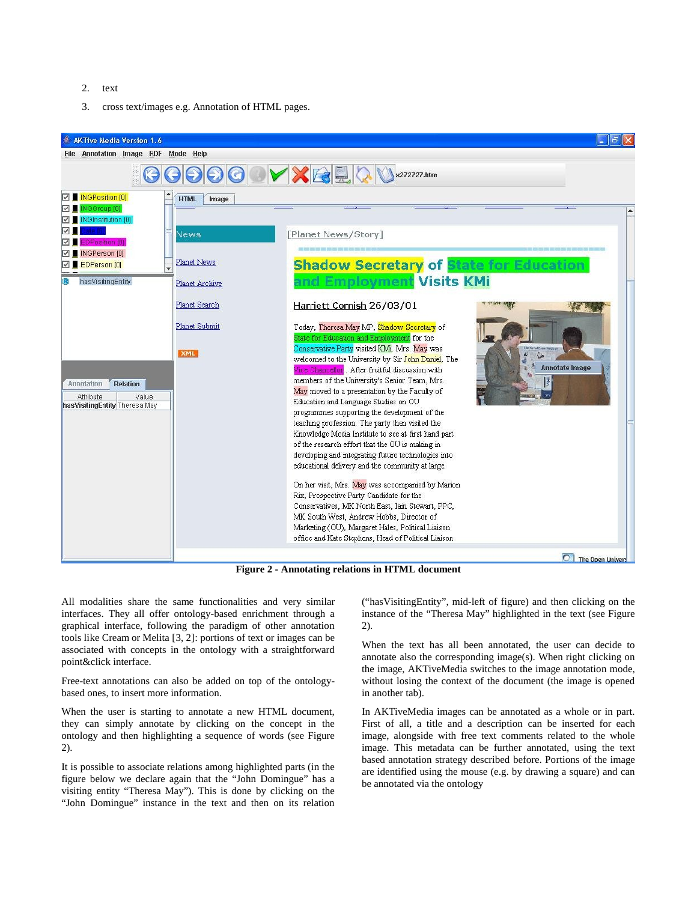- 2. text
- 3. cross text/images e.g. Annotation of HTML pages.



**Figure 2 - Annotating relations in HTML document**

All modalities share the same functionalities and very similar interfaces. They all offer ontology-based enrichment through a graphical interface, following the paradigm of other annotation tools like Cream or Melita [3, 2]: portions of text or images can be associated with concepts in the ontology with a straightforward point&click interface.

Free-text annotations can also be added on top of the ontologybased ones, to insert more information.

When the user is starting to annotate a new HTML document, they can simply annotate by clicking on the concept in the ontology and then highlighting a sequence of words (see Figure 2).

It is possible to associate relations among highlighted parts (in the figure below we declare again that the "John Domingue" has a visiting entity "Theresa May"). This is done by clicking on the "John Domingue" instance in the text and then on its relation

("hasVisitingEntity", mid-left of figure) and then clicking on the instance of the "Theresa May" highlighted in the text (see Figure 2).

When the text has all been annotated, the user can decide to annotate also the corresponding image(s). When right clicking on the image, AKTiveMedia switches to the image annotation mode, without losing the context of the document (the image is opened in another tab).

In AKTiveMedia images can be annotated as a whole or in part. First of all, a title and a description can be inserted for each image, alongside with free text comments related to the whole image. This metadata can be further annotated, using the text based annotation strategy described before. Portions of the image are identified using the mouse (e.g. by drawing a square) and can be annotated via the ontology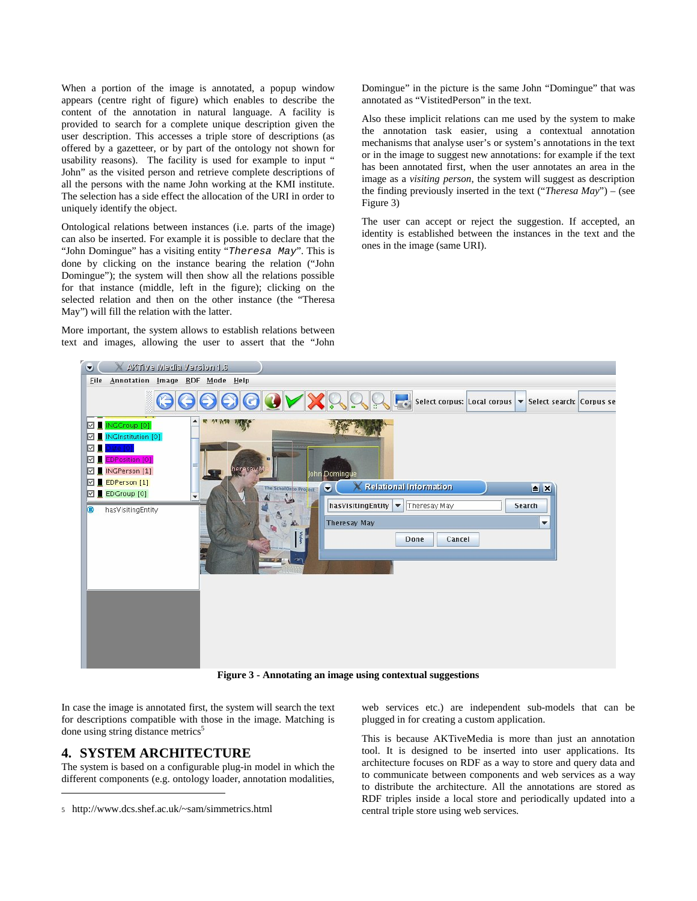When a portion of the image is annotated, a popup window appears (centre right of figure) which enables to describe the content of the annotation in natural language. A facility is provided to search for a complete unique description given the user description. This accesses a triple store of descriptions (as offered by a gazetteer, or by part of the ontology not shown for usability reasons). The facility is used for example to input " John" as the visited person and retrieve complete descriptions of all the persons with the name John working at the KMI institute. The selection has a side effect the allocation of the URI in order to uniquely identify the object.

Ontological relations between instances (i.e. parts of the image) can also be inserted. For example it is possible to declare that the "John Domingue" has a visiting entity "*Theresa May*". This is done by clicking on the instance bearing the relation ("John Domingue"); the system will then show all the relations possible for that instance (middle, left in the figure); clicking on the selected relation and then on the other instance (the "Theresa May") will fill the relation with the latter.

More important, the system allows to establish relations between text and images, allowing the user to assert that the "John

Domingue" in the picture is the same John "Domingue" that was annotated as "VistitedPerson" in the text.

Also these implicit relations can me used by the system to make the annotation task easier, using a contextual annotation mechanisms that analyse user's or system's annotations in the text or in the image to suggest new annotations: for example if the text has been annotated first, when the user annotates an area in the image as a *visiting person*, the system will suggest as description the finding previously inserted in the text ("*Theresa May*") – (see Figure 3)

The user can accept or reject the suggestion. If accepted, an identity is established between the instances in the text and the ones in the image (same URI).



**Figure 3 - Annotating an image using contextual suggestions**

In case the image is annotated first, the system will search the text for descriptions compatible with those in the image. Matching is done using string distance metrics<sup>5</sup>

## **4. SYSTEM ARCHITECTURE**

l

The system is based on a configurable plug-in model in which the different components (e.g. ontology loader, annotation modalities,

web services etc.) are independent sub-models that can be plugged in for creating a custom application.

This is because AKTiveMedia is more than just an annotation tool. It is designed to be inserted into user applications. Its architecture focuses on RDF as a way to store and query data and to communicate between components and web services as a way to distribute the architecture. All the annotations are stored as RDF triples inside a local store and periodically updated into a central triple store using web services.

<sup>5</sup> http://www.dcs.shef.ac.uk/~sam/simmetrics.html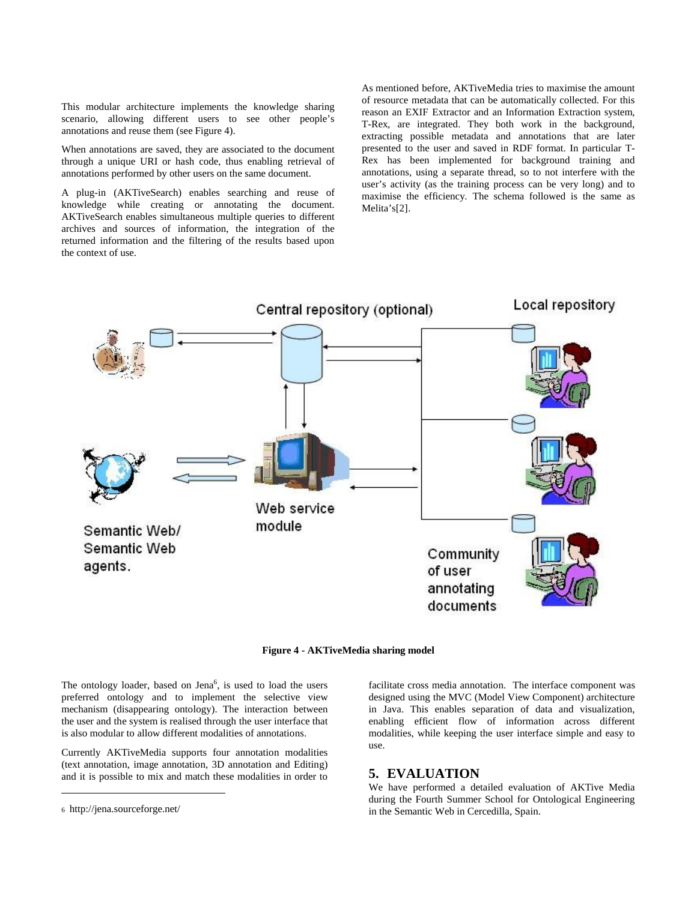This modular architecture implements the knowledge sharing scenario, allowing different users to see other people's annotations and reuse them (see Figure 4).

When annotations are saved, they are associated to the document through a unique URI or hash code, thus enabling retrieval of annotations performed by other users on the same document.

A plug-in (AKTiveSearch) enables searching and reuse of knowledge while creating or annotating the document. AKTiveSearch enables simultaneous multiple queries to different archives and sources of information, the integration of the returned information and the filtering of the results based upon the context of use.

As mentioned before, AKTiveMedia tries to maximise the amount of resource metadata that can be automatically collected. For this reason an EXIF Extractor and an Information Extraction system, T-Rex, are integrated. They both work in the background, extracting possible metadata and annotations that are later presented to the user and saved in RDF format. In particular T-Rex has been implemented for background training and annotations, using a separate thread, so to not interfere with the user's activity (as the training process can be very long) and to maximise the efficiency. The schema followed is the same as Melita's[2].



**Figure 4 - AKTiveMedia sharing model**

The ontology loader, based on  $Jena<sup>6</sup>$ , is used to load the users preferred ontology and to implement the selective view mechanism (disappearing ontology). The interaction between the user and the system is realised through the user interface that is also modular to allow different modalities of annotations.

Currently AKTiveMedia supports four annotation modalities (text annotation, image annotation, 3D annotation and Editing) and it is possible to mix and match these modalities in order to

l

facilitate cross media annotation. The interface component was designed using the MVC (Model View Component) architecture in Java. This enables separation of data and visualization, enabling efficient flow of information across different modalities, while keeping the user interface simple and easy to use.

### **5. EVALUATION**

We have performed a detailed evaluation of AKTive Media during the Fourth Summer School for Ontological Engineering in the Semantic Web in Cercedilla, Spain.

<sup>6</sup> http://jena.sourceforge.net/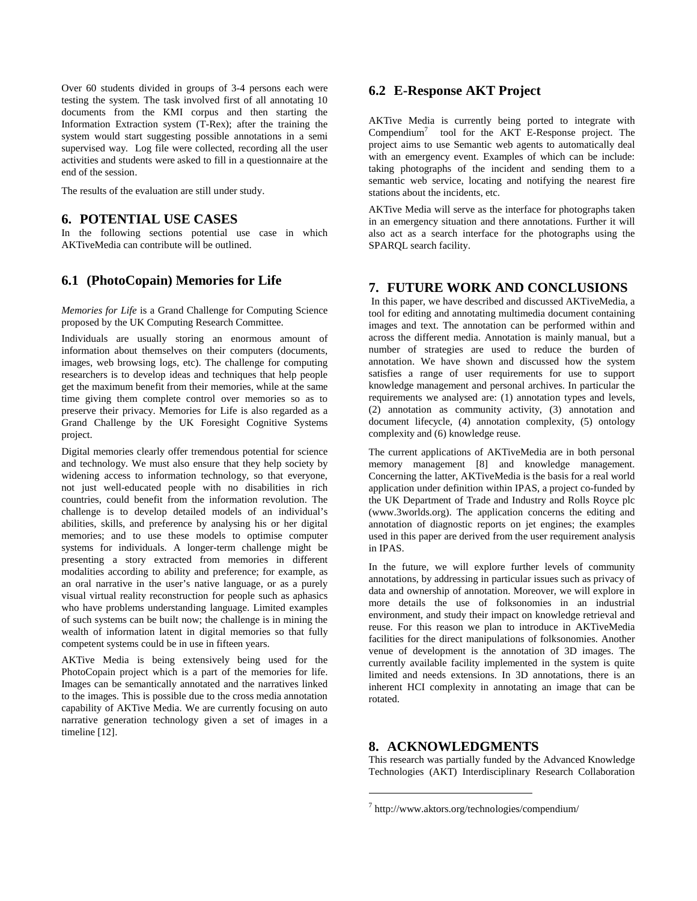Over 60 students divided in groups of 3-4 persons each were testing the system. The task involved first of all annotating 10 documents from the KMI corpus and then starting the Information Extraction system (T-Rex); after the training the system would start suggesting possible annotations in a semi supervised way. Log file were collected, recording all the user activities and students were asked to fill in a questionnaire at the end of the session.

The results of the evaluation are still under study.

#### **6. POTENTIAL USE CASES**

In the following sections potential use case in which AKTiveMedia can contribute will be outlined.

## **6.1 (PhotoCopain) Memories for Life**

*Memories for Life* is a Grand Challenge for Computing Science proposed by the UK Computing Research Committee.

Individuals are usually storing an enormous amount of information about themselves on their computers (documents, images, web browsing logs, etc). The challenge for computing researchers is to develop ideas and techniques that help people get the maximum benefit from their memories, while at the same time giving them complete control over memories so as to preserve their privacy. Memories for Life is also regarded as a Grand Challenge by the UK Foresight Cognitive Systems project.

Digital memories clearly offer tremendous potential for science and technology. We must also ensure that they help society by widening access to information technology, so that everyone, not just well-educated people with no disabilities in rich countries, could benefit from the information revolution. The challenge is to develop detailed models of an individual's abilities, skills, and preference by analysing his or her digital memories; and to use these models to optimise computer systems for individuals. A longer-term challenge might be presenting a story extracted from memories in different modalities according to ability and preference; for example, as an oral narrative in the user's native language, or as a purely visual virtual reality reconstruction for people such as aphasics who have problems understanding language. Limited examples of such systems can be built now; the challenge is in mining the wealth of information latent in digital memories so that fully competent systems could be in use in fifteen years.

AKTive Media is being extensively being used for the PhotoCopain project which is a part of the memories for life. Images can be semantically annotated and the narratives linked to the images. This is possible due to the cross media annotation capability of AKTive Media. We are currently focusing on auto narrative generation technology given a set of images in a timeline [12].

## **6.2 E-Response AKT Project**

AKTive Media is currently being ported to integrate with Compendium<sup>7</sup> tool for the AKT E-Response project. The project aims to use Semantic web agents to automatically deal with an emergency event. Examples of which can be include: taking photographs of the incident and sending them to a semantic web service, locating and notifying the nearest fire stations about the incidents, etc.

AKTive Media will serve as the interface for photographs taken in an emergency situation and there annotations. Further it will also act as a search interface for the photographs using the SPARQL search facility.

## **7. FUTURE WORK AND CONCLUSIONS**

In this paper, we have described and discussed AKTiveMedia, a tool for editing and annotating multimedia document containing images and text. The annotation can be performed within and across the different media. Annotation is mainly manual, but a number of strategies are used to reduce the burden of annotation. We have shown and discussed how the system satisfies a range of user requirements for use to support knowledge management and personal archives. In particular the requirements we analysed are: (1) annotation types and levels, (2) annotation as community activity, (3) annotation and document lifecycle, (4) annotation complexity, (5) ontology complexity and (6) knowledge reuse.

The current applications of AKTiveMedia are in both personal memory management [8] and knowledge management. Concerning the latter, AKTiveMedia is the basis for a real world application under definition within IPAS, a project co-funded by the UK Department of Trade and Industry and Rolls Royce plc (www.3worlds.org). The application concerns the editing and annotation of diagnostic reports on jet engines; the examples used in this paper are derived from the user requirement analysis in IPAS.

In the future, we will explore further levels of community annotations, by addressing in particular issues such as privacy of data and ownership of annotation. Moreover, we will explore in more details the use of folksonomies in an industrial environment, and study their impact on knowledge retrieval and reuse. For this reason we plan to introduce in AKTiveMedia facilities for the direct manipulations of folksonomies. Another venue of development is the annotation of 3D images. The currently available facility implemented in the system is quite limited and needs extensions. In 3D annotations, there is an inherent HCI complexity in annotating an image that can be rotated.

## **8. ACKNOWLEDGMENTS**

l

This research was partially funded by the Advanced Knowledge Technologies (AKT) Interdisciplinary Research Collaboration

<sup>7</sup> http://www.aktors.org/technologies/compendium/